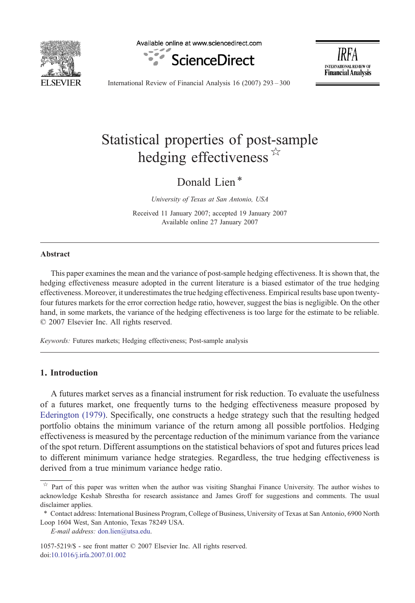

Available online at www.sciencedirect.com





International Review of Financial Analysis 16 (2007) 293–300

# Statistical properties of post-sample hedging effectiveness  $\mathbb{R}$

Donald Lien<sup>\*</sup>

University of Texas at San Antonio, USA

Received 11 January 2007; accepted 19 January 2007 Available online 27 January 2007

#### Abstract

This paper examines the mean and the variance of post-sample hedging effectiveness. It is shown that, the hedging effectiveness measure adopted in the current literature is a biased estimator of the true hedging effectiveness. Moreover, it underestimates the true hedging effectiveness. Empirical results base upon twentyfour futures markets for the error correction hedge ratio, however, suggest the bias is negligible. On the other hand, in some markets, the variance of the hedging effectiveness is too large for the estimate to be reliable. © 2007 Elsevier Inc. All rights reserved.

Keywords: Futures markets; Hedging effectiveness; Post-sample analysis

### 1. Introduction

A futures market serves as a financial instrument for risk reduction. To evaluate the usefulness of a futures market, one frequently turns to the hedging effectiveness measure proposed by [Ederington \(1979\).](#page--1-0) Specifically, one constructs a hedge strategy such that the resulting hedged portfolio obtains the minimum variance of the return among all possible portfolios. Hedging effectiveness is measured by the percentage reduction of the minimum variance from the variance of the spot return. Different assumptions on the statistical behaviors of spot and futures prices lead to different minimum variance hedge strategies. Regardless, the true hedging effectiveness is derived from a true minimum variance hedge ratio.

E-mail address: [don.lien@utsa.edu](mailto:don.lien@utsa.edu).

1057-5219/\$ - see front matter © 2007 Elsevier Inc. All rights reserved. doi:[10.1016/j.irfa.2007.01.002](http://dx.doi.org/10.1016/j.irfa.2007.01.002)

Part of this paper was written when the author was visiting Shanghai Finance University. The author wishes to acknowledge Keshab Shrestha for research assistance and James Groff for suggestions and comments. The usual disclaimer applies.

<sup>⁎</sup> Contact address: International Business Program, College of Business, University of Texas at San Antonio, 6900 North Loop 1604 West, San Antonio, Texas 78249 USA.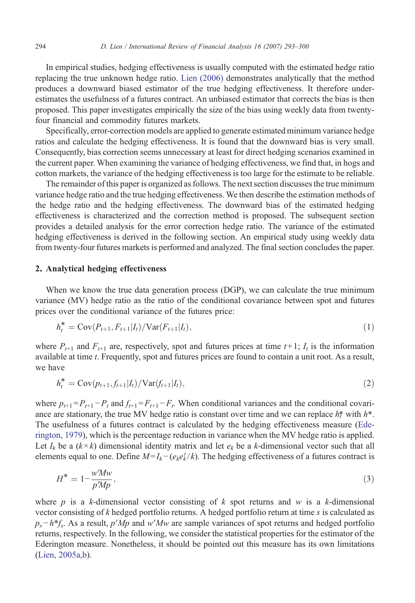In empirical studies, hedging effectiveness is usually computed with the estimated hedge ratio replacing the true unknown hedge ratio. [Lien \(2006\)](#page--1-0) demonstrates analytically that the method produces a downward biased estimator of the true hedging effectiveness. It therefore underestimates the usefulness of a futures contract. An unbiased estimator that corrects the bias is then proposed. This paper investigates empirically the size of the bias using weekly data from twentyfour financial and commodity futures markets.

Specifically, error-correction models are applied to generate estimated minimum variance hedge ratios and calculate the hedging effectiveness. It is found that the downward bias is very small. Consequently, bias correction seems unnecessary at least for direct hedging scenarios examined in the current paper. When examining the variance of hedging effectiveness, we find that, in hogs and cotton markets, the variance of the hedging effectiveness is too large for the estimate to be reliable.

The remainder of this paper is organized as follows. The next section discusses the true minimum variance hedge ratio and the true hedging effectiveness. We then describe the estimation methods of the hedge ratio and the hedging effectiveness. The downward bias of the estimated hedging effectiveness is characterized and the correction method is proposed. The subsequent section provides a detailed analysis for the error correction hedge ratio. The variance of the estimated hedging effectiveness is derived in the following section. An empirical study using weekly data from twenty-four futures markets is performed and analyzed. The final section concludes the paper.

#### 2. Analytical hedging effectiveness

When we know the true data generation process (DGP), we can calculate the true minimum variance (MV) hedge ratio as the ratio of the conditional covariance between spot and futures prices over the conditional variance of the futures price:

$$
h_t^* = \text{Cov}(P_{t+1}, F_{t+1}|I_t) / \text{Var}(F_{t+1}|I_t), \tag{1}
$$

where  $P_{t+1}$  and  $F_{t+1}$  are, respectively, spot and futures prices at time  $t+1$ ;  $I_t$  is the information available at time *t*. Frequently, spot and futures prices are found to contain a unit root. As a result, we have

$$
h_t^* = \text{Cov}(p_{t+1}, f_{t+1}|I_t) / \text{Var}(f_{t+1}|I_t),
$$
\n(2)

where  $p_{t+1} = P_{t+1} - P_t$  and  $f_{t+1} = F_{t+1} - F_t$ . When conditional variances and the conditional covariance are stationary, the true MV hedge ratio is constant over time and we can replace  $h_t^*$  with  $h^*$ . The usefulness of a futures contract is calculated by the hedging effectiveness measure ([Ede](#page--1-0)[rington, 1979](#page--1-0)), which is the percentage reduction in variance when the MV hedge ratio is applied. Let  $I_k$  be a  $(k \times k)$  dimensional identity matrix and let  $e_k$  be a k-dimensional vector such that all elements equal to one. Define  $M = I_k - (e_k e_k'/k)$ . The hedging effectiveness of a futures contract is

$$
H^* = 1 - \frac{w'Mw}{p'Mp},\tag{3}
$$

where p is a k-dimensional vector consisting of k spot returns and w is a k-dimensional vector consisting of  $k$  hedged portfolio returns. A hedged portfolio return at time  $s$  is calculated as  $p_s-h*f_s$ . As a result, p'Mp and w'Mw are sample variances of spot returns and hedged portfolio returns, respectively. In the following, we consider the statistical properties for the estimator of the Ederington measure. Nonetheless, it should be pointed out this measure has its own limitations [\(Lien, 2005a,b\)](#page--1-0).